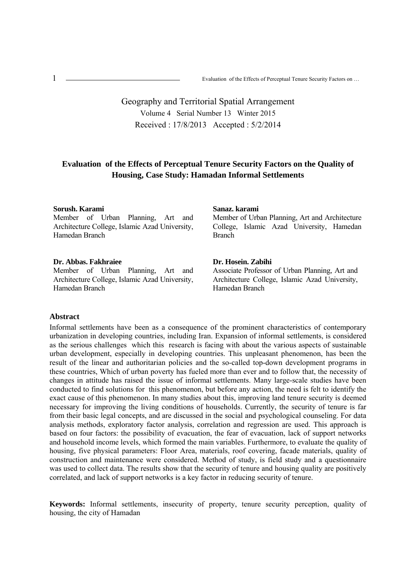$\ddot{\phantom{0}}$ 1 Evaluation of the Effects of Perceptual Tenure Security Factors on ...

# Geography and Territorial Spatial Arrangement Volume 4 Serial Number 13 Winter 2015 Received : 17/8/2013 Accepted : 5/2/2014

## **Evaluation of the Effects of Perceptual Tenure Security Factors on the Quality of Housing, Case Study: Hamadan Informal Settlements**

### **Sorush. Karami**

Member of Urban Planning, Art and Architecture College, Islamic Azad University, Hamedan Branch

#### **Dr. Abbas. Fakhraiee**

Member of Urban Planning, Art and Architecture College, Islamic Azad University, Hamedan Branch

#### **Sanaz. karami**

Member of Urban Planning, Art and Architecture College, Islamic Azad University, Hamedan Branch

### **Dr. Hosein. Zabihi**

Associate Professor of Urban Planning, Art and Architecture College, Islamic Azad University, Hamedan Branch

### **Abstract**

Informal settlements have been as a consequence of the prominent characteristics of contemporary urbanization in developing countries, including Iran. Expansion of informal settlements, is considered as the serious challenges which this research is facing with about the various aspects of sustainable urban development, especially in developing countries. This unpleasant phenomenon, has been the result of the linear and authoritarian policies and the so-called top-down development programs in these countries, Which of urban poverty has fueled more than ever and to follow that, the necessity of changes in attitude has raised the issue of informal settlements. Many large-scale studies have been conducted to find solutions for this phenomenon, but before any action, the need is felt to identify the exact cause of this phenomenon. In many studies about this, improving land tenure security is deemed necessary for improving the living conditions of households. Currently, the security of tenure is far from their basic legal concepts, and are discussed in the social and psychological counseling. For data analysis methods, exploratory factor analysis, correlation and regression are used. This approach is based on four factors: the possibility of evacuation, the fear of evacuation, lack of support networks and household income levels, which formed the main variables. Furthermore, to evaluate the quality of housing, five physical parameters: Floor Area, materials, roof covering, facade materials, quality of construction and maintenance were considered. Method of study, is field study and a questionnaire was used to collect data. The results show that the security of tenure and housing quality are positively correlated, and lack of support networks is a key factor in reducing security of tenure.

**Keywords:** Informal settlements, insecurity of property, tenure security perception, quality of housing, the city of Hamadan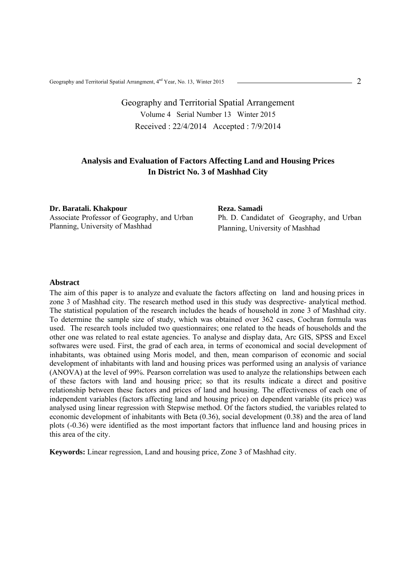Geography and Territorial Spatial Arrangment, 4nd Year, No. 13, Winter 2015

# Geography and Territorial Spatial Arrangement Volume 4 Serial Number 13 Winter 2015 Received : 22/4/2014 Accepted : 7/9/2014

## **Analysis and Evaluation of Factors Affecting Land and Housing Prices In District No. 3 of Mashhad City**

**Dr. Baratali. Khakpour**  Associate Professor of Geography, and Urban Planning, University of Mashhad

**Reza. Samadi**  Ph. D. Candidatet of Geography, and Urban Planning, University of Mashhad

#### **Abstract**

The aim of this paper is to analyze and evaluate the factors affecting on land and housing prices in zone 3 of Mashhad city. The research method used in this study was desprective- analytical method. The statistical population of the research includes the heads of household in zone 3 of Mashhad city. To determine the sample size of study, which was obtained over 362 cases, Cochran formula was used. The research tools included two questionnaires; one related to the heads of households and the other one was related to real estate agencies. To analyse and display data, Arc GIS, SPSS and Excel softwares were used. First, the grad of each area, in terms of economical and social development of inhabitants, was obtained using Moris model, and then, mean comparison of economic and social development of inhabitants with land and housing prices was performed using an analysis of variance (ANOVA) at the level of 99%. Pearson correlation was used to analyze the relationships between each of these factors with land and housing price; so that its results indicate a direct and positive relationship between these factors and prices of land and housing. The effectiveness of each one of independent variables (factors affecting land and housing price) on dependent variable (its price) was analysed using linear regression with Stepwise method. Of the factors studied, the variables related to economic development of inhabitants with Beta (0.36), social development (0.38) and the area of land plots (-0.36) were identified as the most important factors that influence land and housing prices in this area of the city.

**Keywords:** Linear regression, Land and housing price, Zone 3 of Mashhad city.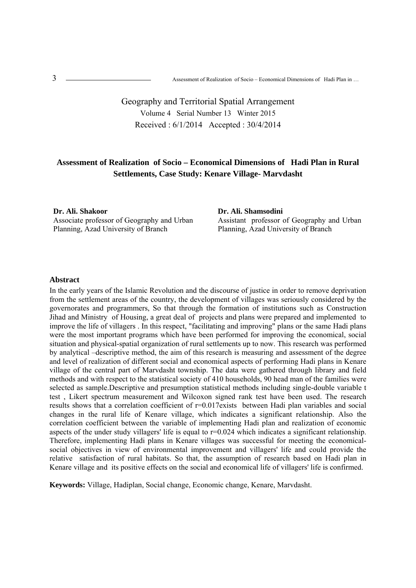$\overline{1}$ Assessment of Realization of Socio – Economical Dimensions of Hadi Plan in ...

# Geography and Territorial Spatial Arrangement Volume 4 Serial Number 13 Winter 2015 Received : 6/1/2014 Accepted : 30/4/2014

## **Assessment of Realization of Socio – Economical Dimensions of Hadi Plan in Rural Settlements, Case Study: Kenare Village- Marvdasht**

### **Dr. Ali. Shakoor**

Associate professor of Geography and Urban Planning, Azad University of Branch

**Dr. Ali. Shamsodini**  Assistant professor of Geography and Urban Planning, Azad University of Branch

#### **Abstract**

In the early years of the Islamic Revolution and the discourse of justice in order to remove deprivation from the settlement areas of the country, the development of villages was seriously considered by the governorates and programmers, So that through the formation of institutions such as Construction Jihad and Ministry of Housing, a great deal of projects and plans were prepared and implemented to improve the life of villagers . In this respect, "facilitating and improving" plans or the same Hadi plans were the most important programs which have been performed for improving the economical, social situation and physical-spatial organization of rural settlements up to now. This research was performed by analytical –descriptive method, the aim of this research is measuring and assessment of the degree and level of realization of different social and economical aspects of performing Hadi plans in Kenare village of the central part of Marvdasht township. The data were gathered through library and field methods and with respect to the statistical society of 410 households, 90 head man of the families were selected as sample.Descriptive and presumption statistical methods including single-double variable t test , Likert spectrum measurement and Wilcoxon signed rank test have been used. The research results shows that a correlation coefficient of r=0.017exists between Hadi plan variables and social changes in the rural life of Kenare village, which indicates a significant relationship. Also the correlation coefficient between the variable of implementing Hadi plan and realization of economic aspects of the under study villagers' life is equal to  $r=0.024$  which indicates a significant relationship. Therefore, implementing Hadi plans in Kenare villages was successful for meeting the economicalsocial objectives in view of environmental improvement and villagers' life and could provide the relative satisfaction of rural habitats. So that, the assumption of research based on Hadi plan in Kenare village and its positive effects on the social and economical life of villagers' life is confirmed.

**Keywords:** Village, Hadiplan, Social change, Economic change, Kenare, Marvdasht.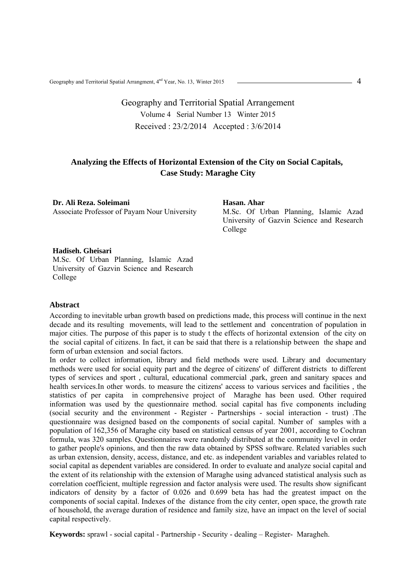Geography and Territorial Spatial Arrangment, 4<sup>nd</sup> Year, No. 13, Winter 2015

# Geography and Territorial Spatial Arrangement Volume 4 Serial Number 13 Winter 2015 Received : 23/2/2014 Accepted : 3/6/2014

### **Analyzing the Effects of Horizontal Extension of the City on Social Capitals, Case Study: Maraghe City**

### **Dr. Ali Reza. Soleimani**

Associate Professor of Payam Nour University

#### **Hasan. Ahar**

M.Sc. Of Urban Planning, Islamic Azad University of Gazvin Science and Research College

#### **Hadiseh. Gheisari**

M.Sc. Of Urban Planning, Islamic Azad University of Gazvin Science and Research College

### **Abstract**

According to inevitable urban growth based on predictions made, this process will continue in the next decade and its resulting movements, will lead to the settlement and concentration of population in major cities. The purpose of this paper is to study t the effects of horizontal extension of the city on the social capital of citizens. In fact, it can be said that there is a relationship between the shape and form of urban extension and social factors.

In order to collect information, library and field methods were used. Library and documentary methods were used for social equity part and the degree of citizens' of different districts to different types of services and sport , cultural, educational commercial ,park, green and sanitary spaces and health services.In other words. to measure the citizens' access to various services and facilities , the statistics of per capita in comprehensive project of Maraghe has been used. Other required information was used by the questionnaire method. social capital has five components including (social security and the environment - Register - Partnerships - social interaction - trust) .The questionnaire was designed based on the components of social capital. Number of samples with a population of 162,356 of Maraghe city based on statistical census of year 2001, according to Cochran formula, was 320 samples. Questionnaires were randomly distributed at the community level in order to gather people's opinions, and then the raw data obtained by SPSS software. Related variables such as urban extension, density, access, distance, and etc. as independent variables and variables related to social capital as dependent variables are considered. In order to evaluate and analyze social capital and the extent of its relationship with the extension of Maraghe using advanced statistical analysis such as correlation coefficient, multiple regression and factor analysis were used. The results show significant indicators of density by a factor of 0.026 and 0.699 beta has had the greatest impact on the components of social capital. Indexes of the distance from the city center, open space, the growth rate of household, the average duration of residence and family size, have an impact on the level of social capital respectively.

**Keywords:** sprawl - social capital - Partnership - Security - dealing – Register- Maragheh.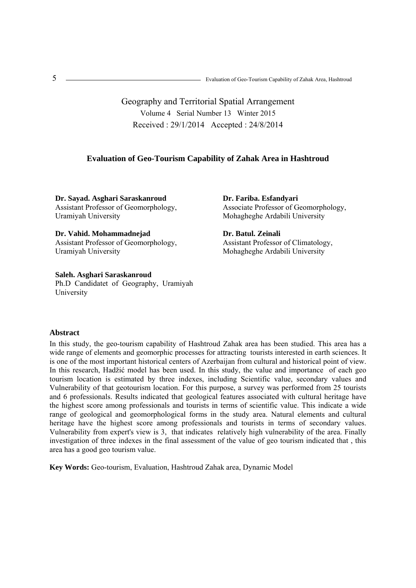Geography and Territorial Spatial Arrangement Volume 4 Serial Number 13 Winter 2015 Received : 29/1/2014 Accepted : 24/8/2014

### **Evaluation of Geo-Tourism Capability of Zahak Area in Hashtroud**

**Dr. Sayad. Asghari Saraskanroud**  Assistant Professor of Geomorphology, Uramiyah University

**Dr. Vahid. Mohammadnejad**  Assistant Professor of Geomorphology, Uramiyah University

#### **Saleh. Asghari Saraskanroud**

Ph.D Candidatet of Geography, Uramiyah University

**Dr. Fariba. Esfandyari**  Associate Professor of Geomorphology, Mohagheghe Ardabili University

**Dr. Batul. Zeinali**  Assistant Professor of Climatology, Mohagheghe Ardabili University

#### **Abstract**

In this study, the geo-tourism capability of Hashtroud Zahak area has been studied. This area has a wide range of elements and geomorphic processes for attracting tourists interested in earth sciences. It is one of the most important historical centers of Azerbaijan from cultural and historical point of view. In this research, Hadžić model has been used. In this study, the value and importance of each geo tourism location is estimated by three indexes, including Scientific value, secondary values and Vulnerability of that geotourism location. For this purpose, a survey was performed from 25 tourists and 6 professionals. Results indicated that geological features associated with cultural heritage have the highest score among professionals and tourists in terms of scientific value. This indicate a wide range of geological and geomorphological forms in the study area. Natural elements and cultural heritage have the highest score among professionals and tourists in terms of secondary values. Vulnerability from expert's view is 3, that indicates relatively high vulnerability of the area. Finally investigation of three indexes in the final assessment of the value of geo tourism indicated that , this area has a good geo tourism value.

**Key Words:** Geo-tourism, Evaluation, Hashtroud Zahak area, Dynamic Model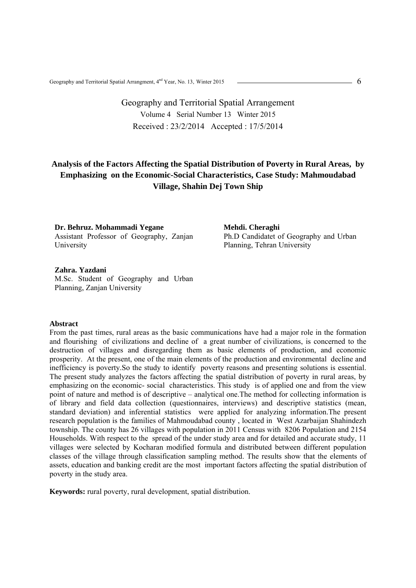Geography and Territorial Spatial Arrangment, 4<sup>nd</sup> Year, No. 13, Winter 2015

# Geography and Territorial Spatial Arrangement Volume 4 Serial Number 13 Winter 2015 Received : 23/2/2014 Accepted : 17/5/2014

## **Analysis of the Factors Affecting the Spatial Distribution of Poverty in Rural Areas, by Emphasizing on the Economic-Social Characteristics, Case Study: Mahmoudabad Village, Shahin Dej Town Ship**

**Dr. Behruz. Mohammadi Yegane**  Assistant Professor of Geography, Zanjan University

**Mehdi. Cheraghi**  Ph.D Candidatet of Geography and Urban Planning, Tehran University

**Zahra. Yazdani**  M.Sc. Student of Geography and Urban Planning, Zanjan University

### **Abstract**

From the past times, rural areas as the basic communications have had a major role in the formation and flourishing of civilizations and decline of a great number of civilizations, is concerned to the destruction of villages and disregarding them as basic elements of production, and economic prosperity. At the present, one of the main elements of the production and environmental decline and inefficiency is poverty.So the study to identify poverty reasons and presenting solutions is essential. The present study analyzes the factors affecting the spatial distribution of poverty in rural areas, by emphasizing on the economic- social characteristics. This study is of applied one and from the view point of nature and method is of descriptive – analytical one.The method for collecting information is of library and field data collection (questionnaires, interviews) and descriptive statistics (mean, standard deviation) and inferential statistics were applied for analyzing information.The present research population is the families of Mahmoudabad county , located in West Azarbaijan Shahindezh township. The county has 26 villages with population in 2011 Census with 8206 Population and 2154 Households. With respect to the spread of the under study area and for detailed and accurate study, 11 villages were selected by Kocharan modified formula and distributed between different population classes of the village through classification sampling method. The results show that the elements of assets, education and banking credit are the most important factors affecting the spatial distribution of poverty in the study area.

**Keywords:** rural poverty, rural development, spatial distribution.

6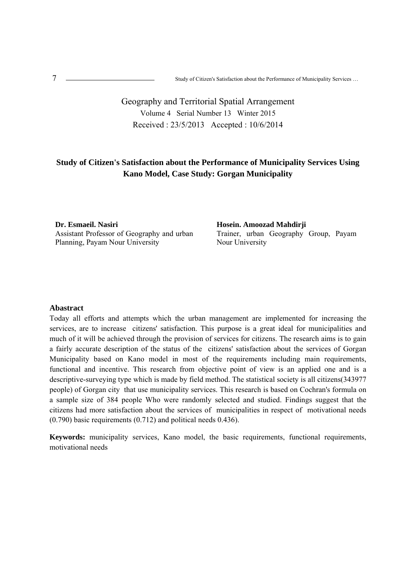$\epsilon$ <sup>7</sup> Study of Citizen's Satisfaction about the Performance of Municipality Services …

# Geography and Territorial Spatial Arrangement Volume 4 Serial Number 13 Winter 2015 Received : 23/5/2013 Accepted : 10/6/2014

## **Study of Citizen's Satisfaction about the Performance of Municipality Services Using Kano Model, Case Study: Gorgan Municipality**

**Dr. Esmaeil. Nasiri**  Assistant Professor of Geography and urban Planning, Payam Nour University

**Hosein. Amoozad Mahdirji**  Trainer, urban Geography Group, Payam Nour University

### **Abastract**

Today all efforts and attempts which the urban management are implemented for increasing the services, are to increase citizens' satisfaction. This purpose is a great ideal for municipalities and much of it will be achieved through the provision of services for citizens. The research aims is to gain a fairly accurate description of the status of the citizens' satisfaction about the services of Gorgan Municipality based on Kano model in most of the requirements including main requirements, functional and incentive. This research from objective point of view is an applied one and is a descriptive-surveying type which is made by field method. The statistical society is all citizens(343977 people) of Gorgan city that use municipality services. This research is based on Cochran's formula on a sample size of 384 people Who were randomly selected and studied. Findings suggest that the citizens had more satisfaction about the services of municipalities in respect of motivational needs (0.790) basic requirements (0.712) and political needs 0.436).

**Keywords:** municipality services, Kano model, the basic requirements, functional requirements, motivational needs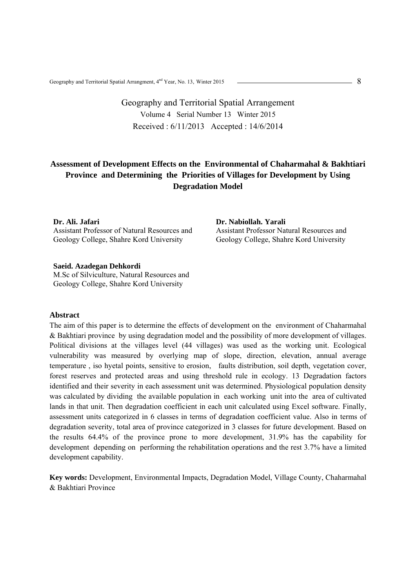Geography and Territorial Spatial Arrangment,  $4<sup>nd</sup>$  Year, No. 13, Winter 2015

# Geography and Territorial Spatial Arrangement Volume 4 Serial Number 13 Winter 2015 Received : 6/11/2013 Accepted : 14/6/2014

## **Assessment of Development Effects on the Environmental of Chaharmahal & Bakhtiari Province and Determining the Priorities of Villages for Development by Using Degradation Model**

#### **Dr. Ali. Jafari**

Assistant Professor of Natural Resources and Geology College, Shahre Kord University

**Dr. Nabiollah. Yarali**  Assistant Professor Natural Resources and Geology College, Shahre Kord University

#### **Saeid. Azadegan Dehkordi**

M.Sc of Silviculture, Natural Resources and Geology College, Shahre Kord University

### **Abstract**

The aim of this paper is to determine the effects of development on the environment of Chaharmahal & Bakhtiari province by using degradation model and the possibility of more development of villages. Political divisions at the villages level (44 villages) was used as the working unit. Ecological vulnerability was measured by overlying map of slope, direction, elevation, annual average temperature , iso hyetal points, sensitive to erosion, faults distribution, soil depth, vegetation cover, forest reserves and protected areas and using threshold rule in ecology. 13 Degradation factors identified and their severity in each assessment unit was determined. Physiological population density was calculated by dividing the available population in each working unit into the area of cultivated lands in that unit. Then degradation coefficient in each unit calculated using Excel software. Finally, assessment units categorized in 6 classes in terms of degradation coefficient value. Also in terms of degradation severity, total area of province categorized in 3 classes for future development. Based on the results 64.4% of the province prone to more development, 31.9% has the capability for development depending on performing the rehabilitation operations and the rest 3.7% have a limited development capability.

**Key words:** Development, Environmental Impacts, Degradation Model, Village County, Chaharmahal & Bakhtiari Province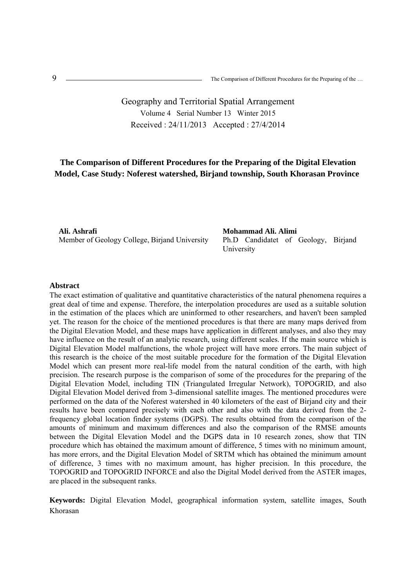# Geography and Territorial Spatial Arrangement Volume 4 Serial Number 13 Winter 2015 Received : 24/11/2013 Accepted : 27/4/2014

## **The Comparison of Different Procedures for the Preparing of the Digital Elevation Model, Case Study: Noferest watershed, Birjand township, South Khorasan Province**

**Ali. Ashrafi**  Member of Geology College, Birjand University **Mohammad Ali. Alimi**  Ph.D Candidatet of Geology, Birjand University

#### **Abstract**

The exact estimation of qualitative and quantitative characteristics of the natural phenomena requires a great deal of time and expense. Therefore, the interpolation procedures are used as a suitable solution in the estimation of the places which are uninformed to other researchers, and haven't been sampled yet. The reason for the choice of the mentioned procedures is that there are many maps derived from the Digital Elevation Model, and these maps have application in different analyses, and also they may have influence on the result of an analytic research, using different scales. If the main source which is Digital Elevation Model malfunctions, the whole project will have more errors. The main subject of this research is the choice of the most suitable procedure for the formation of the Digital Elevation Model which can present more real-life model from the natural condition of the earth, with high precision. The research purpose is the comparison of some of the procedures for the preparing of the Digital Elevation Model, including TIN (Triangulated Irregular Network), TOPOGRID, and also Digital Elevation Model derived from 3-dimensional satellite images. The mentioned procedures were performed on the data of the Noferest watershed in 40 kilometers of the east of Birjand city and their results have been compared precisely with each other and also with the data derived from the 2 frequency global location finder systems (DGPS). The results obtained from the comparison of the amounts of minimum and maximum differences and also the comparison of the RMSE amounts between the Digital Elevation Model and the DGPS data in 10 research zones, show that TIN procedure which has obtained the maximum amount of difference, 5 times with no minimum amount, has more errors, and the Digital Elevation Model of SRTM which has obtained the minimum amount of difference, 3 times with no maximum amount, has higher precision. In this procedure, the TOPOGRID and TOPOGRID INFORCE and also the Digital Model derived from the ASTER images, are placed in the subsequent ranks.

**Keywords:** Digital Elevation Model, geographical information system, satellite images, South Khorasan